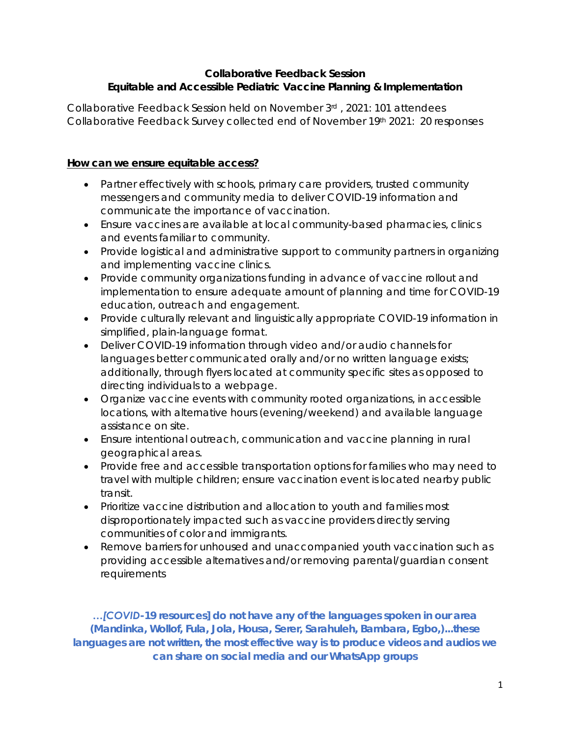## **Collaborative Feedback Session Equitable and Accessible Pediatric Vaccine Planning & Implementation**

Collaborative Feedback Session held on November 3rd , 2021: 101 attendees Collaborative Feedback Survey collected end of November 19th 2021: 20 responses

# **How can we ensure equitable access?**

- Partner effectively with schools, primary care providers, trusted community messengers and community media to deliver COVID-19 information and communicate the importance of vaccination.
- Ensure vaccines are available at local community-based pharmacies, clinics and events familiar to community.
- Provide logistical and administrative support to community partners in organizing and implementing vaccine clinics.
- Provide community organizations funding in advance of vaccine rollout and implementation to ensure adequate amount of planning and time for COVID-19 education, outreach and engagement.
- Provide culturally relevant and linguistically appropriate COVID-19 information in simplified, plain-language format.
- Deliver COVID-19 information through video and/or audio channels for languages better communicated orally and/or no written language exists; additionally, through flyers located at community specific sites as opposed to directing individuals to a webpage.
- Organize vaccine events with community rooted organizations, in accessible locations, with alternative hours (evening/weekend) and available language assistance on site.
- Ensure intentional outreach, communication and vaccine planning in rural geographical areas.
- Provide free and accessible transportation options for families who may need to travel with multiple children; ensure vaccination event is located nearby public transit.
- Prioritize vaccine distribution and allocation to youth and families most disproportionately impacted such as vaccine providers directly serving communities of color and immigrants.
- Remove barriers for unhoused and unaccompanied youth vaccination such as providing accessible alternatives and/or removing parental/guardian consent requirements

*…[COVID-19 resources] do not have any of the languages spoken in our area (Mandinka, Wollof, Fula, Jola, Housa, Serer, Sarahuleh, Bambara, Egbo,)...these*  languages are not written, the most effective way is to produce videos and audios we *can share on social media and our WhatsApp groups*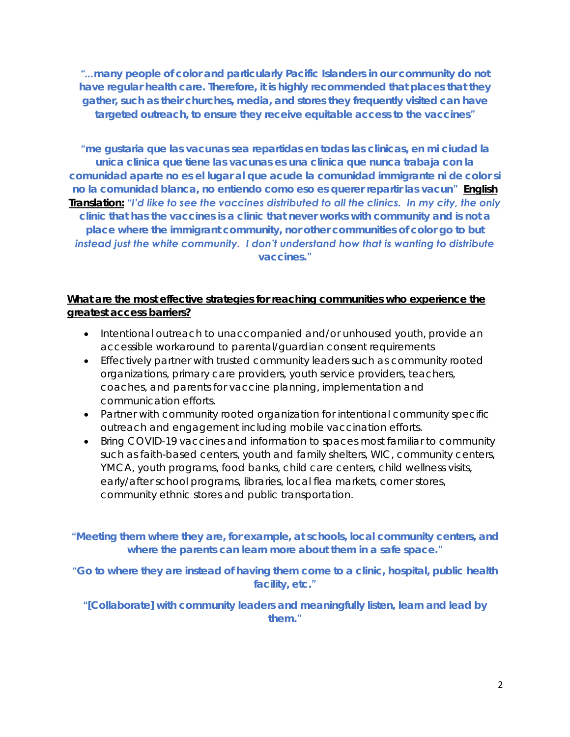"...many people of color and particularly Pacific Islanders in our community do not *have regular health care. Therefore, it is highly recommended that places that they gather, such as their churches, media, and stores they frequently visited can have targeted outreach, to ensure they receive equitable access to the vaccines"*

*"me gustaria que las vacunas sea repartidas en todas las clinicas, en mi ciudad la unica clinica que tiene las vacunas es una clinica que nunca trabaja con la comunidad aparte no es el lugar al que acude la comunidad immigrante ni de color si no la comunidad blanca, no entiendo como eso es querer repartir las vacun" English Translation: "I'd like to see the vaccines distributed to all the clinics. In my city, the only clinic that has the vaccines is a clinic that never works with community and is not a*  place where the immigrant community, nor other communities of color go to but *instead just the white community. I don't understand how that is wanting to distribute vaccines."*

## **What are the most effective strategies for reaching communities who experience the greatest access barriers?**

- Intentional outreach to unaccompanied and/or unhoused youth, provide an accessible workaround to parental/guardian consent requirements
- Effectively partner with trusted community leaders such as community rooted organizations, primary care providers, youth service providers, teachers, coaches, and parents for vaccine planning, implementation and communication efforts.
- Partner with community rooted organization for intentional community specific outreach and engagement including mobile vaccination efforts.
- Bring COVID-19 vaccines and information to spaces most familiar to community such as faith-based centers, youth and family shelters, WIC, community centers, YMCA, youth programs, food banks, child care centers, child wellness visits, early/after school programs, libraries, local flea markets, corner stores, community ethnic stores and public transportation.

*"Meeting them where they are, for example, at schools, local community centers, and where the parents can learn more about them in a safe space."*

*"Go to where they are instead of having them come to a clinic, hospital, public health facility, etc."*

*"[Collaborate] with community leaders and meaningfully listen, learn and lead by them."*